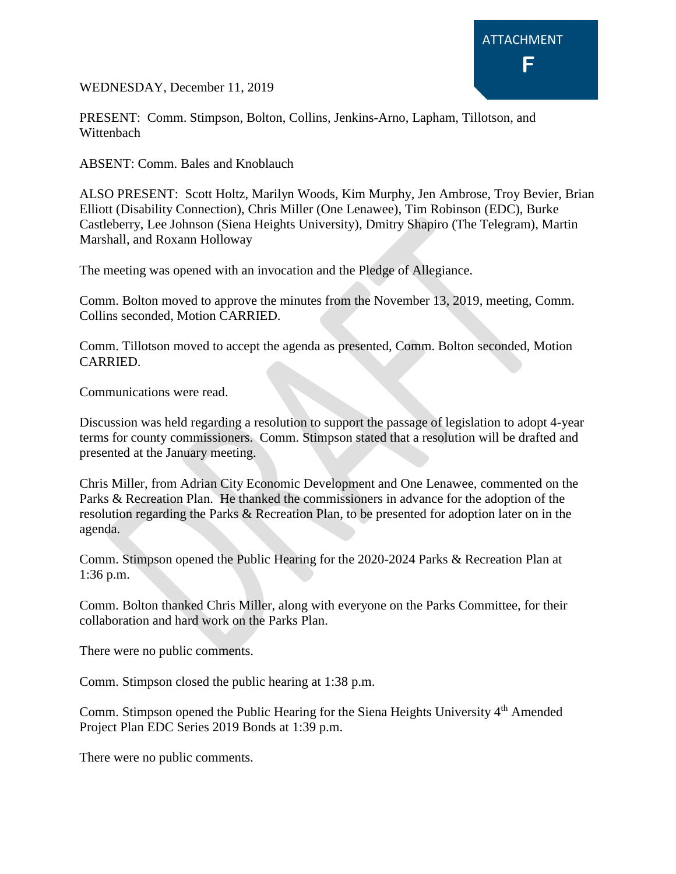

WEDNESDAY, December 11, 2019

PRESENT: Comm. Stimpson, Bolton, Collins, Jenkins-Arno, Lapham, Tillotson, and Wittenbach

ABSENT: Comm. Bales and Knoblauch

ALSO PRESENT: Scott Holtz, Marilyn Woods, Kim Murphy, Jen Ambrose, Troy Bevier, Brian Elliott (Disability Connection), Chris Miller (One Lenawee), Tim Robinson (EDC), Burke Castleberry, Lee Johnson (Siena Heights University), Dmitry Shapiro (The Telegram), Martin Marshall, and Roxann Holloway

The meeting was opened with an invocation and the Pledge of Allegiance.

Comm. Bolton moved to approve the minutes from the November 13, 2019, meeting, Comm. Collins seconded, Motion CARRIED.

Comm. Tillotson moved to accept the agenda as presented, Comm. Bolton seconded, Motion CARRIED.

Communications were read.

Discussion was held regarding a resolution to support the passage of legislation to adopt 4-year terms for county commissioners. Comm. Stimpson stated that a resolution will be drafted and presented at the January meeting.

Chris Miller, from Adrian City Economic Development and One Lenawee, commented on the Parks & Recreation Plan. He thanked the commissioners in advance for the adoption of the resolution regarding the Parks & Recreation Plan, to be presented for adoption later on in the agenda.

Comm. Stimpson opened the Public Hearing for the 2020-2024 Parks & Recreation Plan at 1:36 p.m.

Comm. Bolton thanked Chris Miller, along with everyone on the Parks Committee, for their collaboration and hard work on the Parks Plan.

There were no public comments.

Comm. Stimpson closed the public hearing at 1:38 p.m.

Comm. Stimpson opened the Public Hearing for the Siena Heights University 4<sup>th</sup> Amended Project Plan EDC Series 2019 Bonds at 1:39 p.m.

There were no public comments.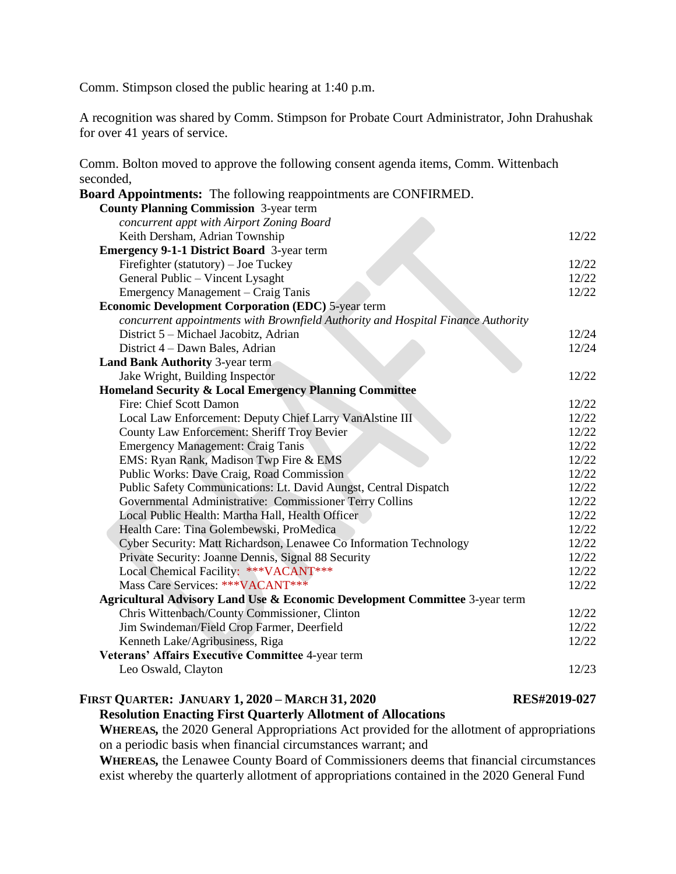Comm. Stimpson closed the public hearing at 1:40 p.m.

A recognition was shared by Comm. Stimpson for Probate Court Administrator, John Drahushak for over 41 years of service.

Comm. Bolton moved to approve the following consent agenda items, Comm. Wittenbach seconded,

| <b>Board Appointments:</b> The following reappointments are CONFIRMED.           |       |
|----------------------------------------------------------------------------------|-------|
| <b>County Planning Commission</b> 3-year term                                    |       |
| concurrent appt with Airport Zoning Board                                        |       |
| Keith Dersham, Adrian Township                                                   | 12/22 |
| <b>Emergency 9-1-1 District Board</b> 3-year term                                |       |
| Firefighter (statutory) – Joe Tuckey                                             | 12/22 |
| General Public - Vincent Lysaght                                                 | 12/22 |
| Emergency Management – Craig Tanis                                               | 12/22 |
| <b>Economic Development Corporation (EDC) 5-year term</b>                        |       |
| concurrent appointments with Brownfield Authority and Hospital Finance Authority |       |
| District 5 - Michael Jacobitz, Adrian                                            | 12/24 |
| District 4 – Dawn Bales, Adrian                                                  | 12/24 |
| <b>Land Bank Authority 3-year term</b>                                           |       |
| Jake Wright, Building Inspector                                                  | 12/22 |
| Homeland Security & Local Emergency Planning Committee                           |       |
| Fire: Chief Scott Damon                                                          | 12/22 |
| Local Law Enforcement: Deputy Chief Larry VanAlstine III                         | 12/22 |
| <b>County Law Enforcement: Sheriff Troy Bevier</b>                               | 12/22 |
| <b>Emergency Management: Craig Tanis</b>                                         | 12/22 |
| EMS: Ryan Rank, Madison Twp Fire & EMS                                           | 12/22 |
| Public Works: Dave Craig, Road Commission                                        | 12/22 |
| Public Safety Communications: Lt. David Aungst, Central Dispatch                 | 12/22 |
| Governmental Administrative: Commissioner Terry Collins                          | 12/22 |
| Local Public Health: Martha Hall, Health Officer                                 | 12/22 |
| Health Care: Tina Golembewski, ProMedica                                         | 12/22 |
| Cyber Security: Matt Richardson, Lenawee Co Information Technology               | 12/22 |
| Private Security: Joanne Dennis, Signal 88 Security                              | 12/22 |
| Local Chemical Facility: *** VACANT***                                           | 12/22 |
| Mass Care Services: *** VACANT***                                                | 12/22 |
| Agricultural Advisory Land Use & Economic Development Committee 3-year term      |       |
| Chris Wittenbach/County Commissioner, Clinton                                    | 12/22 |
| Jim Swindeman/Field Crop Farmer, Deerfield                                       | 12/22 |
| Kenneth Lake/Agribusiness, Riga                                                  | 12/22 |
| Veterans' Affairs Executive Committee 4-year term                                |       |
| Leo Oswald, Clayton                                                              | 12/23 |
|                                                                                  |       |

# **FIRST QUARTER: JANUARY 1, 2020 – MARCH 31, 2020 RES#2019-027**

**Resolution Enacting First Quarterly Allotment of Allocations**

**WHEREAS***,* the 2020 General Appropriations Act provided for the allotment of appropriations on a periodic basis when financial circumstances warrant; and

**WHEREAS***,* the Lenawee County Board of Commissioners deems that financial circumstances exist whereby the quarterly allotment of appropriations contained in the 2020 General Fund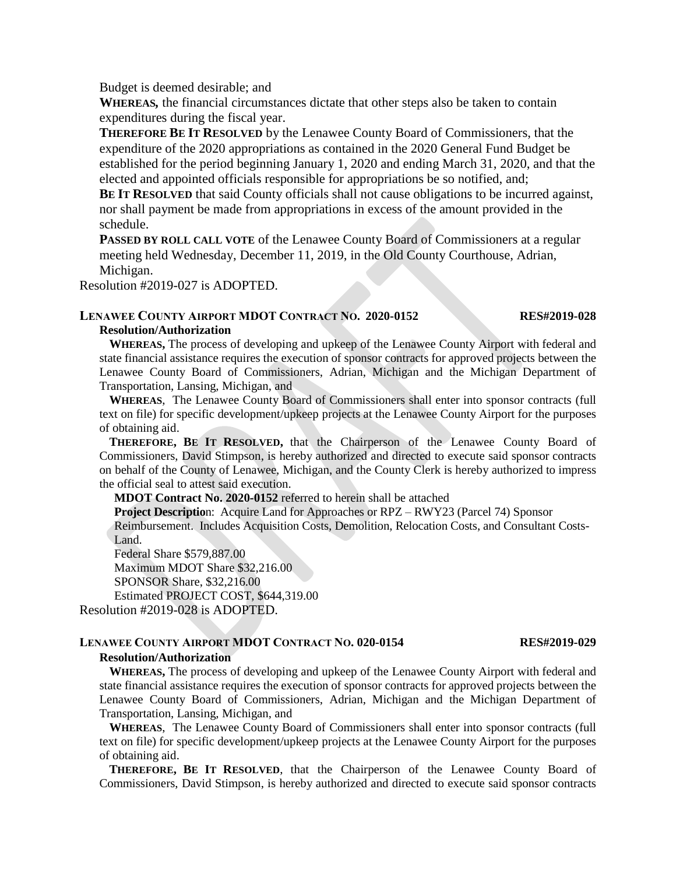Budget is deemed desirable; and

**WHEREAS***,* the financial circumstances dictate that other steps also be taken to contain expenditures during the fiscal year.

**THEREFORE BE IT RESOLVED** by the Lenawee County Board of Commissioners, that the expenditure of the 2020 appropriations as contained in the 2020 General Fund Budget be established for the period beginning January 1, 2020 and ending March 31, 2020, and that the elected and appointed officials responsible for appropriations be so notified, and;

**BE IT RESOLVED** that said County officials shall not cause obligations to be incurred against, nor shall payment be made from appropriations in excess of the amount provided in the schedule.

**PASSED BY ROLL CALL VOTE** of the Lenawee County Board of Commissioners at a regular meeting held Wednesday, December 11, 2019, in the Old County Courthouse, Adrian, Michigan.

Resolution #2019-027 is ADOPTED.

## **LENAWEE COUNTY AIRPORT MDOT CONTRACT NO. 2020-0152 RES#2019-028 Resolution/Authorization**

**WHEREAS,** The process of developing and upkeep of the Lenawee County Airport with federal and state financial assistance requires the execution of sponsor contracts for approved projects between the Lenawee County Board of Commissioners, Adrian, Michigan and the Michigan Department of Transportation, Lansing, Michigan, and

**WHEREAS**, The Lenawee County Board of Commissioners shall enter into sponsor contracts (full text on file) for specific development/upkeep projects at the Lenawee County Airport for the purposes of obtaining aid.

**THEREFORE, BE IT RESOLVED,** that the Chairperson of the Lenawee County Board of Commissioners, David Stimpson, is hereby authorized and directed to execute said sponsor contracts on behalf of the County of Lenawee, Michigan, and the County Clerk is hereby authorized to impress the official seal to attest said execution.

**MDOT Contract No. 2020-0152** referred to herein shall be attached

**Project Descriptio**n: Acquire Land for Approaches or RPZ – RWY23 (Parcel 74) Sponsor

Reimbursement. Includes Acquisition Costs, Demolition, Relocation Costs, and Consultant Costs-Land.

Federal Share \$579,887.00

Maximum MDOT Share \$32,216.00

SPONSOR Share, \$32,216.00

Estimated PROJECT COST, \$644,319.00

Resolution #2019-028 is ADOPTED.

### **LENAWEE COUNTY AIRPORT MDOT CONTRACT NO. 020-0154 RES#2019-029 Resolution/Authorization**

**WHEREAS,** The process of developing and upkeep of the Lenawee County Airport with federal and state financial assistance requires the execution of sponsor contracts for approved projects between the Lenawee County Board of Commissioners, Adrian, Michigan and the Michigan Department of

Transportation, Lansing, Michigan, and

**WHEREAS**, The Lenawee County Board of Commissioners shall enter into sponsor contracts (full text on file) for specific development/upkeep projects at the Lenawee County Airport for the purposes of obtaining aid.

**THEREFORE, BE IT RESOLVED**, that the Chairperson of the Lenawee County Board of Commissioners, David Stimpson, is hereby authorized and directed to execute said sponsor contracts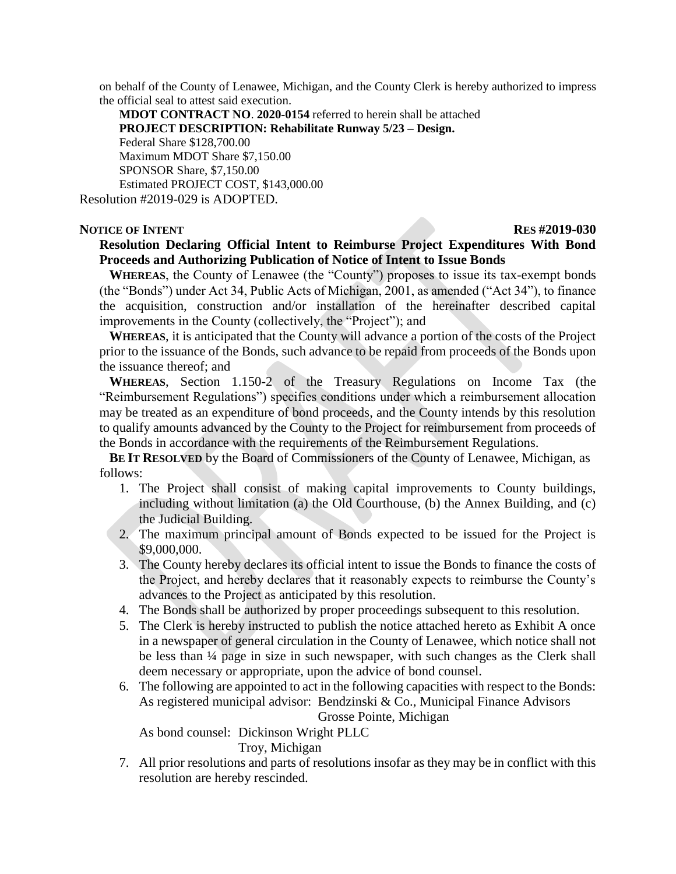on behalf of the County of Lenawee, Michigan, and the County Clerk is hereby authorized to impress the official seal to attest said execution.

**MDOT CONTRACT NO**. **2020-0154** referred to herein shall be attached **PROJECT DESCRIPTION: Rehabilitate Runway 5/23 – Design.** Federal Share \$128,700.00 Maximum MDOT Share \$7,150.00 SPONSOR Share, \$7,150.00 Estimated PROJECT COST, \$143,000.00 Resolution #2019-029 is ADOPTED.

## **RES #2019-030**

# **Resolution Declaring Official Intent to Reimburse Project Expenditures With Bond Proceeds and Authorizing Publication of Notice of Intent to Issue Bonds**

**WHEREAS**, the County of Lenawee (the "County") proposes to issue its tax-exempt bonds (the "Bonds") under Act 34, Public Acts of Michigan, 2001, as amended ("Act 34"), to finance the acquisition, construction and/or installation of the hereinafter described capital improvements in the County (collectively, the "Project"); and

**WHEREAS**, it is anticipated that the County will advance a portion of the costs of the Project prior to the issuance of the Bonds, such advance to be repaid from proceeds of the Bonds upon the issuance thereof; and

**WHEREAS**, Section 1.150-2 of the Treasury Regulations on Income Tax (the "Reimbursement Regulations") specifies conditions under which a reimbursement allocation may be treated as an expenditure of bond proceeds, and the County intends by this resolution to qualify amounts advanced by the County to the Project for reimbursement from proceeds of the Bonds in accordance with the requirements of the Reimbursement Regulations.

**BE IT RESOLVED** by the Board of Commissioners of the County of Lenawee, Michigan, as follows:

- 1. The Project shall consist of making capital improvements to County buildings, including without limitation (a) the Old Courthouse, (b) the Annex Building, and (c) the Judicial Building.
- 2. The maximum principal amount of Bonds expected to be issued for the Project is \$9,000,000.
- 3. The County hereby declares its official intent to issue the Bonds to finance the costs of the Project, and hereby declares that it reasonably expects to reimburse the County's advances to the Project as anticipated by this resolution.
- 4. The Bonds shall be authorized by proper proceedings subsequent to this resolution.
- 5. The Clerk is hereby instructed to publish the notice attached hereto as Exhibit A once in a newspaper of general circulation in the County of Lenawee, which notice shall not be less than ¼ page in size in such newspaper, with such changes as the Clerk shall deem necessary or appropriate, upon the advice of bond counsel.
- 6. The following are appointed to act in the following capacities with respect to the Bonds: As registered municipal advisor: Bendzinski & Co., Municipal Finance Advisors Grosse Pointe, Michigan

As bond counsel: Dickinson Wright PLLC

Troy, Michigan

7. All prior resolutions and parts of resolutions insofar as they may be in conflict with this resolution are hereby rescinded.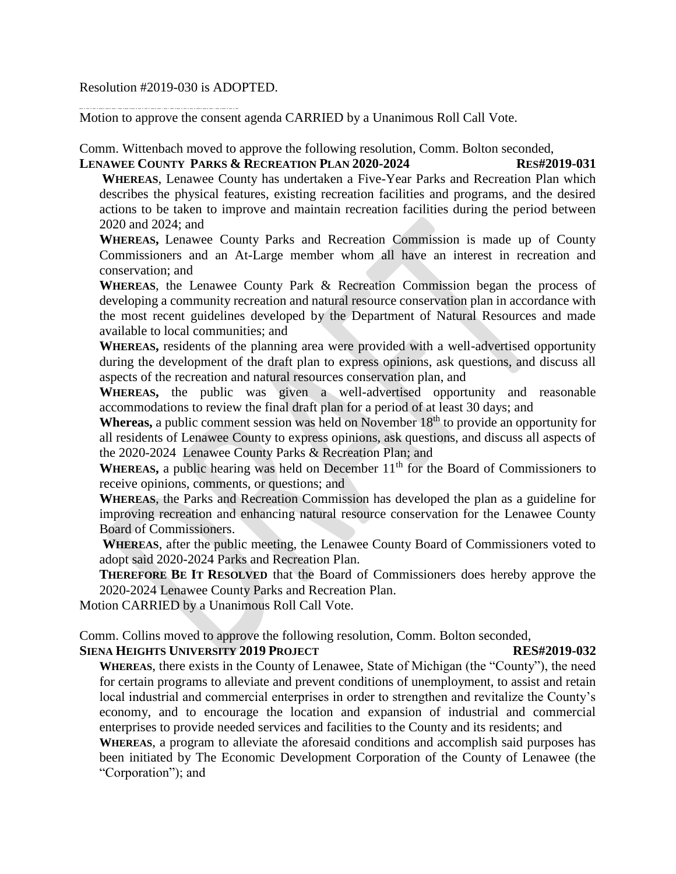Resolution #2019-030 is ADOPTED.

Motion to approve the consent agenda CARRIED by a Unanimous Roll Call Vote.

Comm. Wittenbach moved to approve the following resolution, Comm. Bolton seconded,

**LENAWEE COUNTY PARKS & RECREATION PLAN 2020-2024 RES#2019-031 WHEREAS**, Lenawee County has undertaken a Five-Year Parks and Recreation Plan which describes the physical features, existing recreation facilities and programs, and the desired actions to be taken to improve and maintain recreation facilities during the period between 2020 and 2024; and

**WHEREAS,** Lenawee County Parks and Recreation Commission is made up of County Commissioners and an At-Large member whom all have an interest in recreation and conservation; and

**WHEREAS**, the Lenawee County Park & Recreation Commission began the process of developing a community recreation and natural resource conservation plan in accordance with the most recent guidelines developed by the Department of Natural Resources and made available to local communities; and

**WHEREAS,** residents of the planning area were provided with a well-advertised opportunity during the development of the draft plan to express opinions, ask questions, and discuss all aspects of the recreation and natural resources conservation plan, and

**WHEREAS,** the public was given a well-advertised opportunity and reasonable accommodations to review the final draft plan for a period of at least 30 days; and

**Whereas,** a public comment session was held on November 18<sup>th</sup> to provide an opportunity for all residents of Lenawee County to express opinions, ask questions, and discuss all aspects of the 2020-2024 Lenawee County Parks & Recreation Plan; and

WHEREAS, a public hearing was held on December 11<sup>th</sup> for the Board of Commissioners to receive opinions, comments, or questions; and

**WHEREAS**, the Parks and Recreation Commission has developed the plan as a guideline for improving recreation and enhancing natural resource conservation for the Lenawee County Board of Commissioners.

**WHEREAS**, after the public meeting, the Lenawee County Board of Commissioners voted to adopt said 2020-2024 Parks and Recreation Plan.

**THEREFORE BE IT RESOLVED** that the Board of Commissioners does hereby approve the 2020-2024 Lenawee County Parks and Recreation Plan.

Motion CARRIED by a Unanimous Roll Call Vote.

Comm. Collins moved to approve the following resolution, Comm. Bolton seconded,

# **SIENA HEIGHTS UNIVERSITY 2019 PROJECT RES#2019-032**

**WHEREAS**, there exists in the County of Lenawee, State of Michigan (the "County"), the need for certain programs to alleviate and prevent conditions of unemployment, to assist and retain local industrial and commercial enterprises in order to strengthen and revitalize the County's economy, and to encourage the location and expansion of industrial and commercial enterprises to provide needed services and facilities to the County and its residents; and

**WHEREAS**, a program to alleviate the aforesaid conditions and accomplish said purposes has been initiated by The Economic Development Corporation of the County of Lenawee (the "Corporation"); and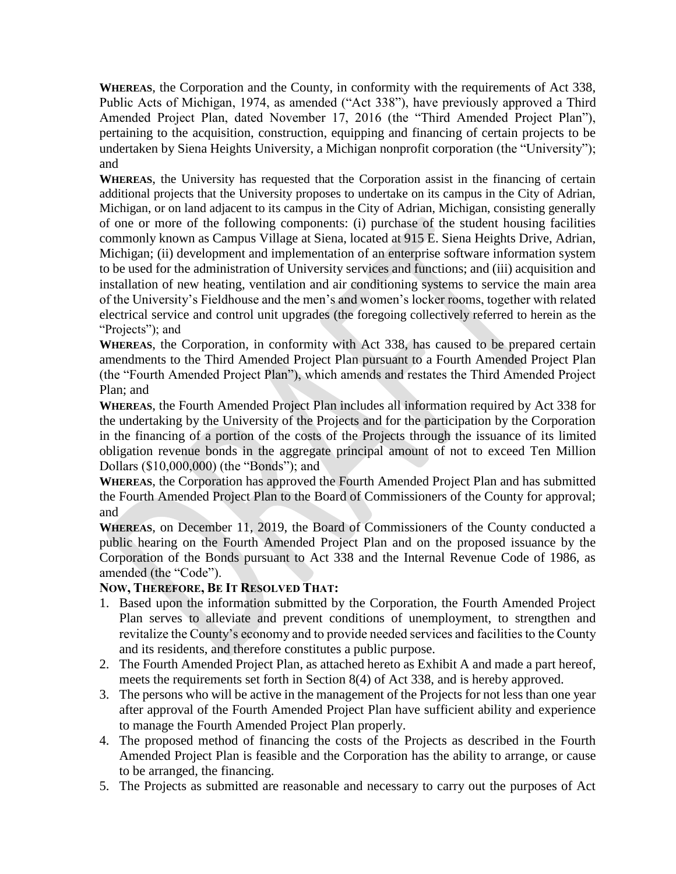**WHEREAS**, the Corporation and the County, in conformity with the requirements of Act 338, Public Acts of Michigan, 1974, as amended ("Act 338"), have previously approved a Third Amended Project Plan, dated November 17, 2016 (the "Third Amended Project Plan"), pertaining to the acquisition, construction, equipping and financing of certain projects to be undertaken by Siena Heights University, a Michigan nonprofit corporation (the "University"); and

**WHEREAS**, the University has requested that the Corporation assist in the financing of certain additional projects that the University proposes to undertake on its campus in the City of Adrian, Michigan, or on land adjacent to its campus in the City of Adrian, Michigan, consisting generally of one or more of the following components: (i) purchase of the student housing facilities commonly known as Campus Village at Siena, located at 915 E. Siena Heights Drive, Adrian, Michigan; (ii) development and implementation of an enterprise software information system to be used for the administration of University services and functions; and (iii) acquisition and installation of new heating, ventilation and air conditioning systems to service the main area of the University's Fieldhouse and the men's and women's locker rooms, together with related electrical service and control unit upgrades (the foregoing collectively referred to herein as the "Projects"); and

**WHEREAS**, the Corporation, in conformity with Act 338, has caused to be prepared certain amendments to the Third Amended Project Plan pursuant to a Fourth Amended Project Plan (the "Fourth Amended Project Plan"), which amends and restates the Third Amended Project Plan; and

**WHEREAS**, the Fourth Amended Project Plan includes all information required by Act 338 for the undertaking by the University of the Projects and for the participation by the Corporation in the financing of a portion of the costs of the Projects through the issuance of its limited obligation revenue bonds in the aggregate principal amount of not to exceed Ten Million Dollars (\$10,000,000) (the "Bonds"); and

**WHEREAS**, the Corporation has approved the Fourth Amended Project Plan and has submitted the Fourth Amended Project Plan to the Board of Commissioners of the County for approval; and

**WHEREAS**, on December 11, 2019, the Board of Commissioners of the County conducted a public hearing on the Fourth Amended Project Plan and on the proposed issuance by the Corporation of the Bonds pursuant to Act 338 and the Internal Revenue Code of 1986, as amended (the "Code").

# **NOW, THEREFORE, BE IT RESOLVED THAT:**

- 1. Based upon the information submitted by the Corporation, the Fourth Amended Project Plan serves to alleviate and prevent conditions of unemployment, to strengthen and revitalize the County's economy and to provide needed services and facilities to the County and its residents, and therefore constitutes a public purpose.
- 2. The Fourth Amended Project Plan, as attached hereto as Exhibit A and made a part hereof, meets the requirements set forth in Section 8(4) of Act 338, and is hereby approved.
- 3. The persons who will be active in the management of the Projects for not less than one year after approval of the Fourth Amended Project Plan have sufficient ability and experience to manage the Fourth Amended Project Plan properly.
- 4. The proposed method of financing the costs of the Projects as described in the Fourth Amended Project Plan is feasible and the Corporation has the ability to arrange, or cause to be arranged, the financing.
- 5. The Projects as submitted are reasonable and necessary to carry out the purposes of Act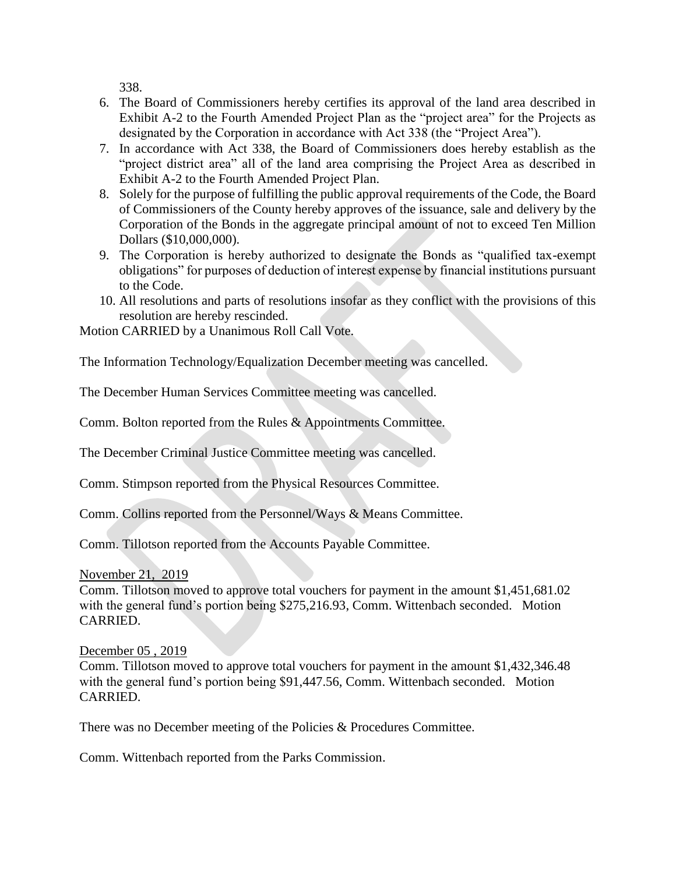338.

- 6. The Board of Commissioners hereby certifies its approval of the land area described in Exhibit A-2 to the Fourth Amended Project Plan as the "project area" for the Projects as designated by the Corporation in accordance with Act 338 (the "Project Area").
- 7. In accordance with Act 338, the Board of Commissioners does hereby establish as the "project district area" all of the land area comprising the Project Area as described in Exhibit A-2 to the Fourth Amended Project Plan.
- 8. Solely for the purpose of fulfilling the public approval requirements of the Code, the Board of Commissioners of the County hereby approves of the issuance, sale and delivery by the Corporation of the Bonds in the aggregate principal amount of not to exceed Ten Million Dollars (\$10,000,000).
- 9. The Corporation is hereby authorized to designate the Bonds as "qualified tax-exempt obligations" for purposes of deduction of interest expense by financial institutions pursuant to the Code.
- 10. All resolutions and parts of resolutions insofar as they conflict with the provisions of this resolution are hereby rescinded.

Motion CARRIED by a Unanimous Roll Call Vote.

The Information Technology/Equalization December meeting was cancelled.

The December Human Services Committee meeting was cancelled.

Comm. Bolton reported from the Rules & Appointments Committee.

The December Criminal Justice Committee meeting was cancelled.

Comm. Stimpson reported from the Physical Resources Committee.

Comm. Collins reported from the Personnel/Ways & Means Committee.

Comm. Tillotson reported from the Accounts Payable Committee.

November 21, 2019

Comm. Tillotson moved to approve total vouchers for payment in the amount \$1,451,681.02 with the general fund's portion being \$275,216.93, Comm. Wittenbach seconded. Motion CARRIED.

December 05 , 2019

Comm. Tillotson moved to approve total vouchers for payment in the amount \$1,432,346.48 with the general fund's portion being \$91,447.56, Comm. Wittenbach seconded. Motion CARRIED.

There was no December meeting of the Policies & Procedures Committee.

Comm. Wittenbach reported from the Parks Commission.